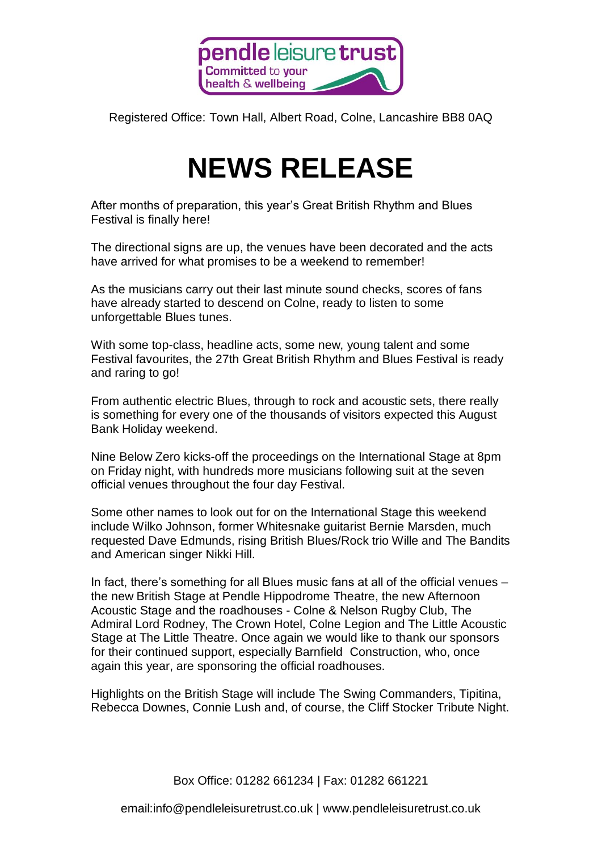

Registered Office: Town Hall, Albert Road, Colne, Lancashire BB8 0AQ

## **NEWS RELEASE**

After months of preparation, this year's Great British Rhythm and Blues Festival is finally here!

The directional signs are up, the venues have been decorated and the acts have arrived for what promises to be a weekend to remember!

As the musicians carry out their last minute sound checks, scores of fans have already started to descend on Colne, ready to listen to some unforgettable Blues tunes.

With some top-class, headline acts, some new, young talent and some Festival favourites, the 27th Great British Rhythm and Blues Festival is ready and raring to go!

From authentic electric Blues, through to rock and acoustic sets, there really is something for every one of the thousands of visitors expected this August Bank Holiday weekend.

Nine Below Zero kicks-off the proceedings on the International Stage at 8pm on Friday night, with hundreds more musicians following suit at the seven official venues throughout the four day Festival.

Some other names to look out for on the International Stage this weekend include Wilko Johnson, former Whitesnake guitarist Bernie Marsden, much requested Dave Edmunds, rising British Blues/Rock trio Wille and The Bandits and American singer Nikki Hill.

In fact, there's something for all Blues music fans at all of the official venues – the new British Stage at Pendle Hippodrome Theatre, the new Afternoon Acoustic Stage and the roadhouses - Colne & Nelson Rugby Club, The Admiral Lord Rodney, The Crown Hotel, Colne Legion and The Little Acoustic Stage at The Little Theatre. Once again we would like to thank our sponsors for their continued support, especially Barnfield Construction, who, once again this year, are sponsoring the official roadhouses.

Highlights on the British Stage will include The Swing Commanders, Tipitina, Rebecca Downes, Connie Lush and, of course, the Cliff Stocker Tribute Night.

Box Office: 01282 661234 | Fax: 01282 661221